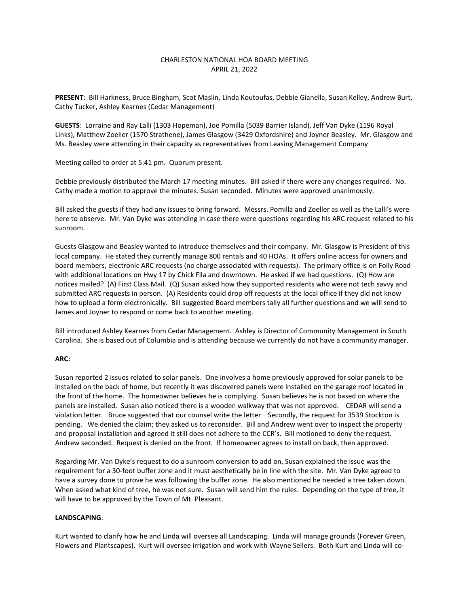# CHARLESTON NATIONAL HOA BOARD MEETING APRIL 21, 2022

**PRESENT**: Bill Harkness, Bruce Bingham, Scot Maslin, Linda Koutoufas, Debbie Gianella, Susan Kelley, Andrew Burt, Cathy Tucker, Ashley Kearnes (Cedar Management)

**GUESTS**: Lorraine and Ray Lalli (1303 Hopeman), Joe Pomilla (5039 Barrier Island), Jeff Van Dyke (1196 Royal Links), Matthew Zoeller (1570 Strathene), James Glasgow (3429 Oxfordshire) and Joyner Beasley. Mr. Glasgow and Ms. Beasley were attending in their capacity as representatives from Leasing Management Company

Meeting called to order at 5:41 pm. Quorum present.

Debbie previously distributed the March 17 meeting minutes. Bill asked if there were any changes required. No. Cathy made a motion to approve the minutes. Susan seconded. Minutes were approved unanimously.

Bill asked the guests if they had any issues to bring forward. Messrs. Pomilla and Zoeller as well as the Lalli's were here to observe. Mr. Van Dyke was attending in case there were questions regarding his ARC request related to his sunroom.

Guests Glasgow and Beasley wanted to introduce themselves and their company. Mr. Glasgow is President of this local company. He stated they currently manage 800 rentals and 40 HOAs. It offers online access for owners and board members, electronic ARC requests (no charge associated with requests). The primary office is on Folly Road with additional locations on Hwy 17 by Chick Fila and downtown. He asked if we had questions. (Q) How are notices mailed? (A) First Class Mail. (Q) Susan asked how they supported residents who were not tech savvy and submitted ARC requests in person. (A) Residents could drop off requests at the local office if they did not know how to upload a form electronically. Bill suggested Board members tally all further questions and we will send to James and Joyner to respond or come back to another meeting.

Bill introduced Ashley Kearnes from Cedar Management. Ashley is Director of Community Management in South Carolina. She is based out of Columbia and is attending because we currently do not have a community manager.

### **ARC:**

Susan reported 2 issues related to solar panels. One involves a home previously approved for solar panels to be installed on the back of home, but recently it was discovered panels were installed on the garage roof located in the front of the home. The homeowner believes he is complying. Susan believes he is not based on where the panels are installed. Susan also noticed there is a wooden walkway that was not approved. CEDAR will send a violation letter. Bruce suggested that our counsel write the letter Secondly, the request for 3539 Stockton is pending. We denied the claim; they asked us to reconsider. Bill and Andrew went over to inspect the property and proposal installation and agreed it still does not adhere to the CCR's. Bill motioned to deny the request. Andrew seconded. Request is denied on the front. If homeowner agrees to install on back, then approved.

Regarding Mr. Van Dyke's request to do a sunroom conversion to add on, Susan explained the issue was the requirement for a 30-foot buffer zone and it must aesthetically be in line with the site. Mr. Van Dyke agreed to have a survey done to prove he was following the buffer zone. He also mentioned he needed a tree taken down. When asked what kind of tree, he was not sure. Susan will send him the rules. Depending on the type of tree, it will have to be approved by the Town of Mt. Pleasant.

### **LANDSCAPING**:

Kurt wanted to clarify how he and Linda will oversee all Landscaping. Linda will manage grounds (Forever Green, Flowers and Plantscapes). Kurt will oversee irrigation and work with Wayne Sellers. Both Kurt and Linda will co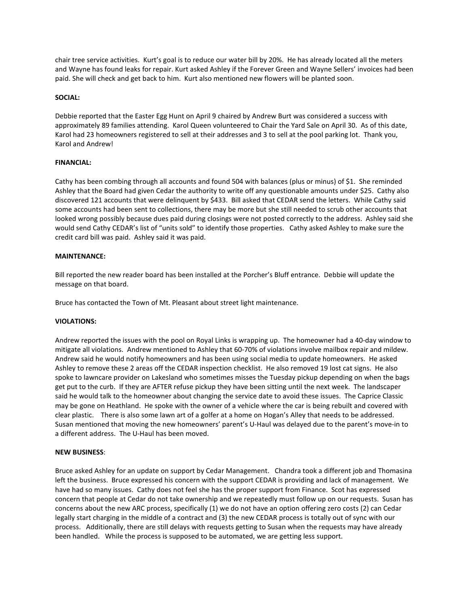chair tree service activities. Kurt's goal is to reduce our water bill by 20%. He has already located all the meters and Wayne has found leaks for repair. Kurt asked Ashley if the Forever Green and Wayne Sellers' invoices had been paid. She will check and get back to him. Kurt also mentioned new flowers will be planted soon.

### **SOCIAL:**

Debbie reported that the Easter Egg Hunt on April 9 chaired by Andrew Burt was considered a success with approximately 89 families attending. Karol Queen volunteered to Chair the Yard Sale on April 30. As of this date, Karol had 23 homeowners registered to sell at their addresses and 3 to sell at the pool parking lot. Thank you, Karol and Andrew!

# **FINANCIAL:**

Cathy has been combing through all accounts and found 504 with balances (plus or minus) of \$1. She reminded Ashley that the Board had given Cedar the authority to write off any questionable amounts under \$25. Cathy also discovered 121 accounts that were delinquent by \$433. Bill asked that CEDAR send the letters. While Cathy said some accounts had been sent to collections, there may be more but she still needed to scrub other accounts that looked wrong possibly because dues paid during closings were not posted correctly to the address. Ashley said she would send Cathy CEDAR's list of "units sold" to identify those properties. Cathy asked Ashley to make sure the credit card bill was paid. Ashley said it was paid.

### **MAINTENANCE:**

Bill reported the new reader board has been installed at the Porcher's Bluff entrance. Debbie will update the message on that board.

Bruce has contacted the Town of Mt. Pleasant about street light maintenance.

### **VIOLATIONS:**

Andrew reported the issues with the pool on Royal Links is wrapping up. The homeowner had a 40-day window to mitigate all violations. Andrew mentioned to Ashley that 60-70% of violations involve mailbox repair and mildew. Andrew said he would notify homeowners and has been using social media to update homeowners. He asked Ashley to remove these 2 areas off the CEDAR inspection checklist. He also removed 19 lost cat signs. He also spoke to lawncare provider on Lakesland who sometimes misses the Tuesday pickup depending on when the bags get put to the curb. If they are AFTER refuse pickup they have been sitting until the next week. The landscaper said he would talk to the homeowner about changing the service date to avoid these issues. The Caprice Classic may be gone on Heathland. He spoke with the owner of a vehicle where the car is being rebuilt and covered with clear plastic. There is also some lawn art of a golfer at a home on Hogan's Alley that needs to be addressed. Susan mentioned that moving the new homeowners' parent's U-Haul was delayed due to the parent's move-in to a different address. The U-Haul has been moved.

### **NEW BUSINESS**:

Bruce asked Ashley for an update on support by Cedar Management. Chandra took a different job and Thomasina left the business. Bruce expressed his concern with the support CEDAR is providing and lack of management. We have had so many issues. Cathy does not feel she has the proper support from Finance. Scot has expressed concern that people at Cedar do not take ownership and we repeatedly must follow up on our requests. Susan has concerns about the new ARC process, specifically (1) we do not have an option offering zero costs (2) can Cedar legally start charging in the middle of a contract and (3) the new CEDAR process is totally out of sync with our process. Additionally, there are still delays with requests getting to Susan when the requests may have already been handled. While the process is supposed to be automated, we are getting less support.